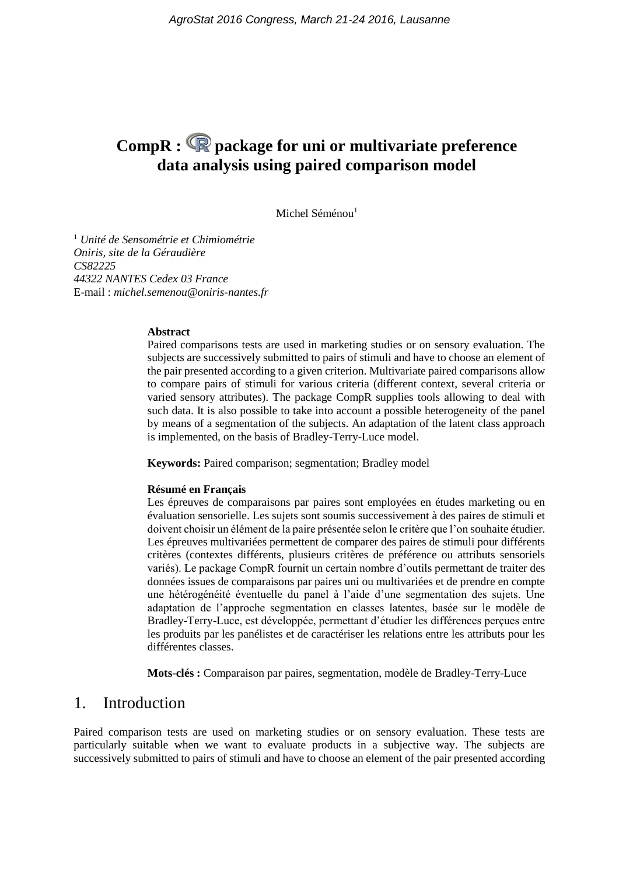# **CompR : package for uni or multivariate preference data analysis using paired comparison model**

Michel Séménou<sup>1</sup>

<sup>1</sup> *Unité de Sensométrie et Chimiométrie Oniris, site de la Géraudière CS82225 44322 NANTES Cedex 03 France* E-mail : *michel.semenou@oniris-nantes.fr*

#### **Abstract**

Paired comparisons tests are used in marketing studies or on sensory evaluation. The subjects are successively submitted to pairs of stimuli and have to choose an element of the pair presented according to a given criterion. Multivariate paired comparisons allow to compare pairs of stimuli for various criteria (different context, several criteria or varied sensory attributes). The package CompR supplies tools allowing to deal with such data. It is also possible to take into account a possible heterogeneity of the panel by means of a segmentation of the subjects. An adaptation of the latent class approach is implemented, on the basis of Bradley-Terry-Luce model.

**Keywords:** Paired comparison; segmentation; Bradley model

#### **Résumé en Français**

Les épreuves de comparaisons par paires sont employées en études marketing ou en évaluation sensorielle. Les sujets sont soumis successivement à des paires de stimuli et doivent choisir un élément de la paire présentée selon le critère que l'on souhaite étudier. Les épreuves multivariées permettent de comparer des paires de stimuli pour différents critères (contextes différents, plusieurs critères de préférence ou attributs sensoriels variés). Le package CompR fournit un certain nombre d'outils permettant de traiter des données issues de comparaisons par paires uni ou multivariées et de prendre en compte une hétérogénéité éventuelle du panel à l'aide d'une segmentation des sujets. Une adaptation de l'approche segmentation en classes latentes, basée sur le modèle de Bradley-Terry-Luce, est développée, permettant d'étudier les différences perçues entre les produits par les panélistes et de caractériser les relations entre les attributs pour les différentes classes.

**Mots-clés :** Comparaison par paires, segmentation, modèle de Bradley-Terry-Luce

## 1. Introduction

Paired comparison tests are used on marketing studies or on sensory evaluation. These tests are particularly suitable when we want to evaluate products in a subjective way. The subjects are successively submitted to pairs of stimuli and have to choose an element of the pair presented according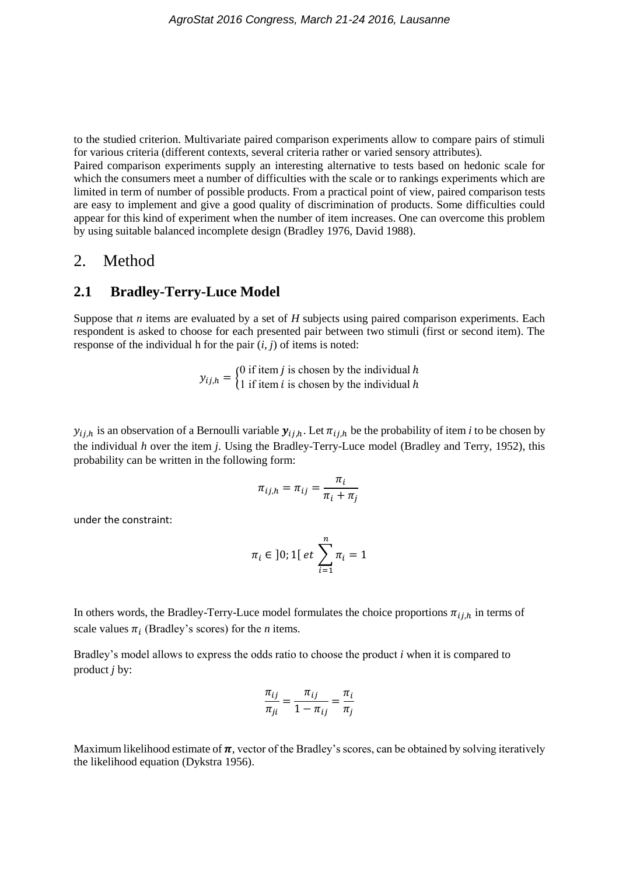to the studied criterion. Multivariate paired comparison experiments allow to compare pairs of stimuli for various criteria (different contexts, several criteria rather or varied sensory attributes).

Paired comparison experiments supply an interesting alternative to tests based on hedonic scale for which the consumers meet a number of difficulties with the scale or to rankings experiments which are limited in term of number of possible products. From a practical point of view, paired comparison tests are easy to implement and give a good quality of discrimination of products. Some difficulties could appear for this kind of experiment when the number of item increases. One can overcome this problem by using suitable balanced incomplete design (Bradley 1976, David 1988).

## 2. Method

## **2.1 Bradley-Terry-Luce Model**

Suppose that *n* items are evaluated by a set of *H* subjects using paired comparison experiments. Each respondent is asked to choose for each presented pair between two stimuli (first or second item). The response of the individual h for the pair  $(i, j)$  of items is noted:

> $y_{ij,h} = \begin{cases} 0 \text{ if item } j \text{ is chosen by the individual } h \\ 1 \text{ if item } i \text{ is chosen by the individual } h \end{cases}$ 1 if item  $i$  is chosen by the individual  $h$

 $y_{i,j,h}$  is an observation of a Bernoulli variable  $y_{i,j,h}$ . Let  $\pi_{i,j,h}$  be the probability of item *i* to be chosen by the individual *h* over the item *j*. Using the Bradley-Terry-Luce model (Bradley and Terry, 1952), this probability can be written in the following form:

$$
\pi_{ij,h} = \pi_{ij} = \frac{\pi_i}{\pi_i + \pi_j}
$$

under the constraint:

$$
\pi_i \in \ ]0;1[ \ et \ \sum_{i=1}^n \pi_i = 1
$$

In others words, the Bradley-Terry-Luce model formulates the choice proportions  $\pi_{i,j,h}$  in terms of scale values  $\pi_i$  (Bradley's scores) for the *n* items.

Bradley's model allows to express the odds ratio to choose the product *i* when it is compared to product *j* by:

$$
\frac{\pi_{ij}}{\pi_{ji}} = \frac{\pi_{ij}}{1 - \pi_{ij}} = \frac{\pi_i}{\pi_j}
$$

Maximum likelihood estimate of  $\pi$ , vector of the Bradley's scores, can be obtained by solving iteratively the likelihood equation (Dykstra 1956).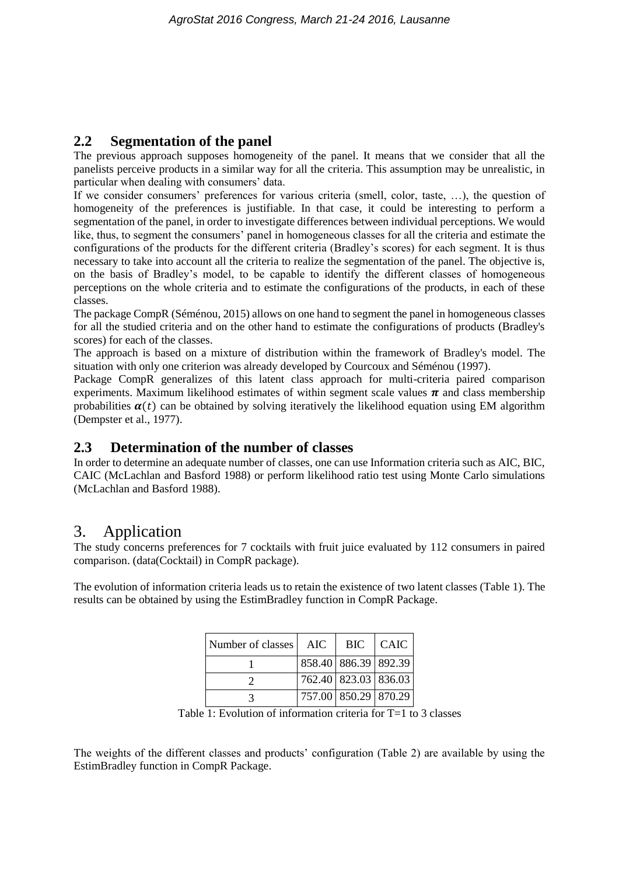# **2.2 Segmentation of the panel**

The previous approach supposes homogeneity of the panel. It means that we consider that all the panelists perceive products in a similar way for all the criteria. This assumption may be unrealistic, in particular when dealing with consumers' data.

If we consider consumers' preferences for various criteria (smell, color, taste, …), the question of homogeneity of the preferences is justifiable. In that case, it could be interesting to perform a segmentation of the panel, in order to investigate differences between individual perceptions. We would like, thus, to segment the consumers' panel in homogeneous classes for all the criteria and estimate the configurations of the products for the different criteria (Bradley's scores) for each segment. It is thus necessary to take into account all the criteria to realize the segmentation of the panel. The objective is, on the basis of Bradley's model, to be capable to identify the different classes of homogeneous perceptions on the whole criteria and to estimate the configurations of the products, in each of these classes.

The package CompR (Séménou, 2015) allows on one hand to segment the panel in homogeneous classes for all the studied criteria and on the other hand to estimate the configurations of products (Bradley's scores) for each of the classes.

The approach is based on a mixture of distribution within the framework of Bradley's model. The situation with only one criterion was already developed by Courcoux and Séménou (1997).

Package CompR generalizes of this latent class approach for multi-criteria paired comparison experiments. Maximum likelihood estimates of within segment scale values  $\pi$  and class membership probabilities  $\alpha(t)$  can be obtained by solving iteratively the likelihood equation using EM algorithm (Dempster et al., 1977).

# **2.3 Determination of the number of classes**

In order to determine an adequate number of classes, one can use Information criteria such as AIC, BIC, CAIC (McLachlan and Basford 1988) or perform likelihood ratio test using Monte Carlo simulations (McLachlan and Basford 1988).

# 3. Application

The study concerns preferences for 7 cocktails with fruit juice evaluated by 112 consumers in paired comparison. (data(Cocktail) in CompR package).

The evolution of information criteria leads us to retain the existence of two latent classes (Table 1). The results can be obtained by using the EstimBradley function in CompR Package.

| Number of classes | AIC | BIC                  | <b>CAIC</b> |
|-------------------|-----|----------------------|-------------|
|                   |     | 858.40 886.39 892.39 |             |
|                   |     | 762.40 823.03 836.03 |             |
|                   |     | 757.00 850.29 870.29 |             |

| Table 1: Evolution of information criteria for $T=1$ to 3 classes |  |
|-------------------------------------------------------------------|--|
|-------------------------------------------------------------------|--|

The weights of the different classes and products' configuration (Table 2) are available by using the EstimBradley function in CompR Package.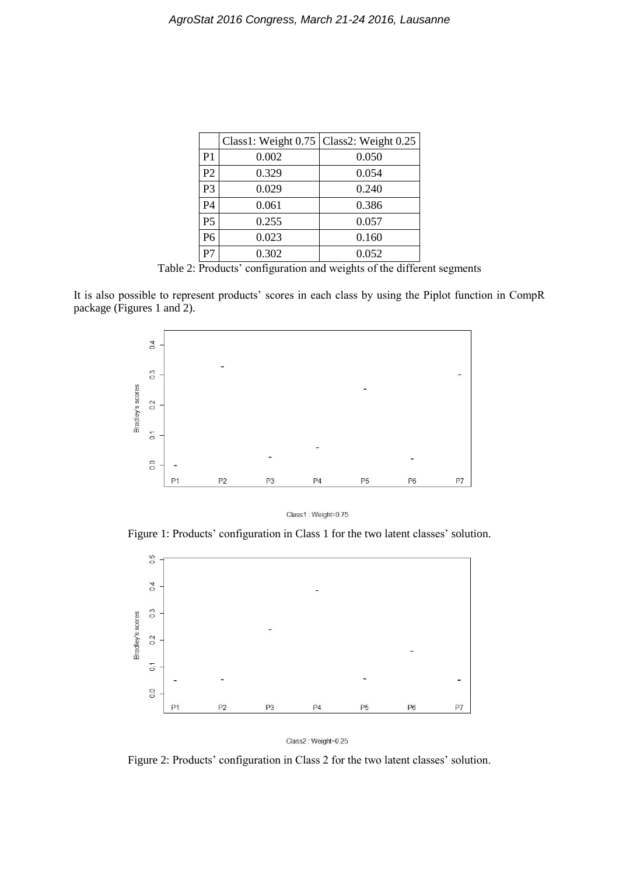|                |       | Class1: Weight 0.75   Class2: Weight 0.25 |
|----------------|-------|-------------------------------------------|
| P <sub>1</sub> | 0.002 | 0.050                                     |
| P <sub>2</sub> | 0.329 | 0.054                                     |
| P <sub>3</sub> | 0.029 | 0.240                                     |
| P <sub>4</sub> | 0.061 | 0.386                                     |
| P <sub>5</sub> | 0.255 | 0.057                                     |
| P <sub>6</sub> | 0.023 | 0.160                                     |
| P7             | 0.302 | 0.052                                     |

Table 2: Products' configuration and weights of the different segments

It is also possible to represent products' scores in each class by using the Piplot function in CompR package (Figures 1 and 2).



Class1: Weight=0.75

Figure 1: Products' configuration in Class 1 for the two latent classes' solution.



Class2: Weight=0.25

Figure 2: Products' configuration in Class 2 for the two latent classes' solution.